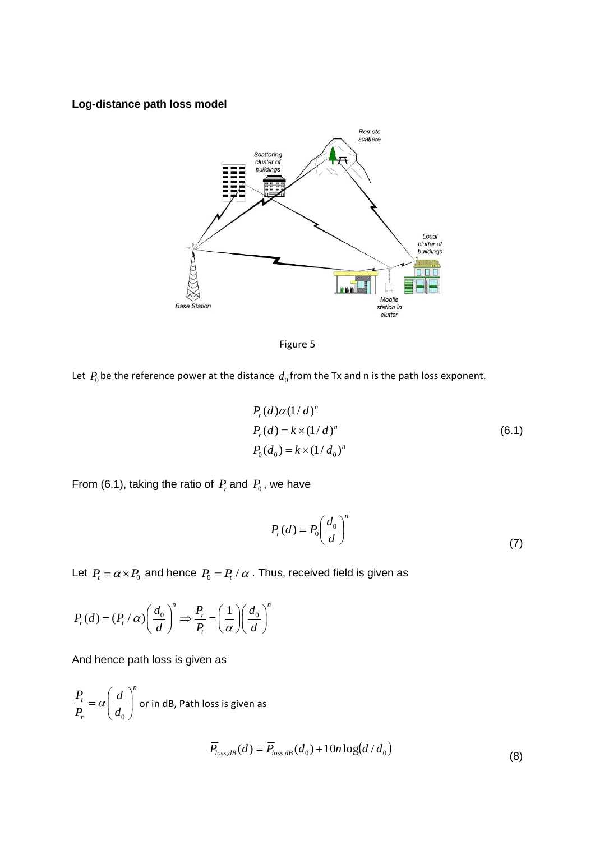## **Log-distance path loss model**



Figure 5

Let  $P_0$  be the reference power at the distance  $d_0$  from the Tx and n is the path loss exponent.

$$
P_r(d)\alpha(1/d)^n
$$
  
\n
$$
P_r(d) = k \times (1/d)^n
$$
  
\n
$$
P_0(d_0) = k \times (1/d_0)^n
$$
\n(6.1)

From (6.1), taking the ratio of  $P_r$  and  $P_0$ , we have

$$
P_r(d) = P_0 \left(\frac{d_0}{d}\right)^n \tag{7}
$$

Let  $P_t = \alpha \times P_0$  and hence  $P_0 = P_t / \alpha$  . Thus, received field is given as

$$
P_r(d) = (P_t / \alpha) \left(\frac{d_0}{d}\right)^n \Rightarrow \frac{P_r}{P_t} = \left(\frac{1}{\alpha}\right) \left(\frac{d_0}{d}\right)^n
$$

And hence path loss is given as

$$
\frac{P_t}{P_r} = \alpha \left(\frac{d}{d_0}\right)^n
$$
 or in dB, Path loss is given as

$$
\overline{P}_{loss, dB}(d) = \overline{P}_{loss, dB}(d_0) + 10n \log(d/d_0)
$$
\n(8)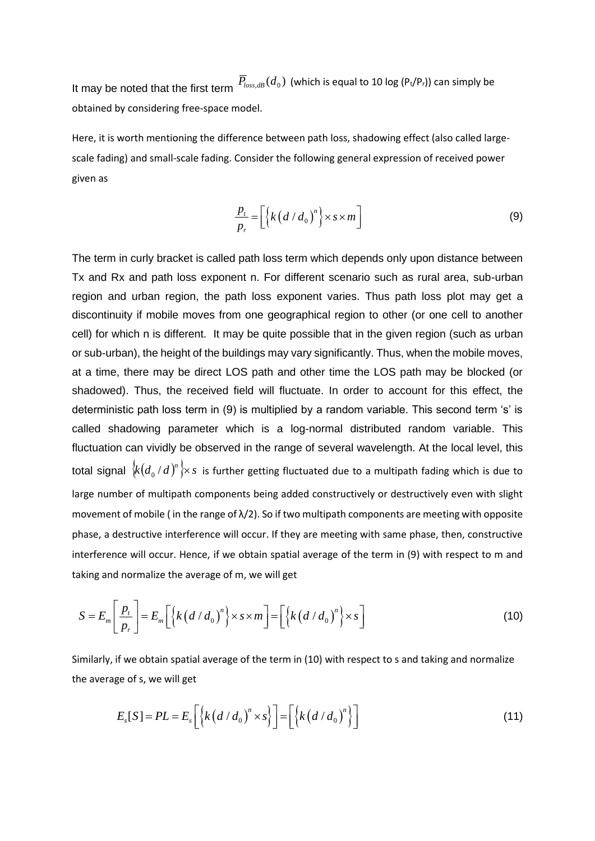It may be noted that the first term  $\overline{P}_{loss, dB}(d_0)$  (which is equal to 10 log (Pt/Pr)) can simply be obtained by considering free-space model.

Here, it is worth mentioning the difference between path loss, shadowing effect (also called largescale fading) and small-scale fading. Consider the following general expression of received power given as

$$
\frac{p_t}{p_r} = \left[ \left\{ k \left( d / d_0 \right)^n \right\} \times s \times m \right]
$$
\n(9)

The term in curly bracket is called path loss term which depends only upon distance between Tx and Rx and path loss exponent n. For different scenario such as rural area, sub-urban region and urban region, the path loss exponent varies. Thus path loss plot may get a discontinuity if mobile moves from one geographical region to other (or one cell to another cell) for which n is different. It may be quite possible that in the given region (such as urban or sub-urban), the height of the buildings may vary significantly. Thus, when the mobile moves, at a time, there may be direct LOS path and other time the LOS path may be blocked (or shadowed). Thus, the received field will fluctuate. In order to account for this effect, the deterministic path loss term in (9) is multiplied by a random variable. This second term 's' is called shadowing parameter which is a log-normal distributed random variable. This fluctuation can vividly be observed in the range of several wavelength. At the local level, this total signal  $\frac{1}{k} (d_0 / d)^n$   $\times s$  $\int_0^1 d\, \int^{\pi}_0 \rangle$ x s is further getting fluctuated due to a multipath fading which is due to large number of multipath components being added constructively or destructively even with slight movement of mobile ( in the range of  $\lambda/2$ ). So if two multipath components are meeting with opposite phase, a destructive interference will occur. If they are meeting with same phase, then, constructive interference will occur. Hence, if we obtain spatial average of the term in (9) with respect to m and taking and normalize the average of m, we will get

aking and normalize the average of m, we will get  
\n
$$
S = E_m \left[ \frac{p_t}{p_r} \right] = E_m \left[ \left\{ k \left( d / d_0 \right)^n \right\} \times s \times m \right] = \left[ \left\{ k \left( d / d_0 \right)^n \right\} \times s \right]
$$
\n(10)

Similarly, if we obtain spatial average of the term in (10) with respect to s and taking and normalize the average of s, we will get

$$
E_s[S] = PL = E_s \left[ \left\{ k \left( d / d_0 \right)^n \times s \right\} \right] = \left[ \left\{ k \left( d / d_0 \right)^n \right\} \right]
$$
\n(11)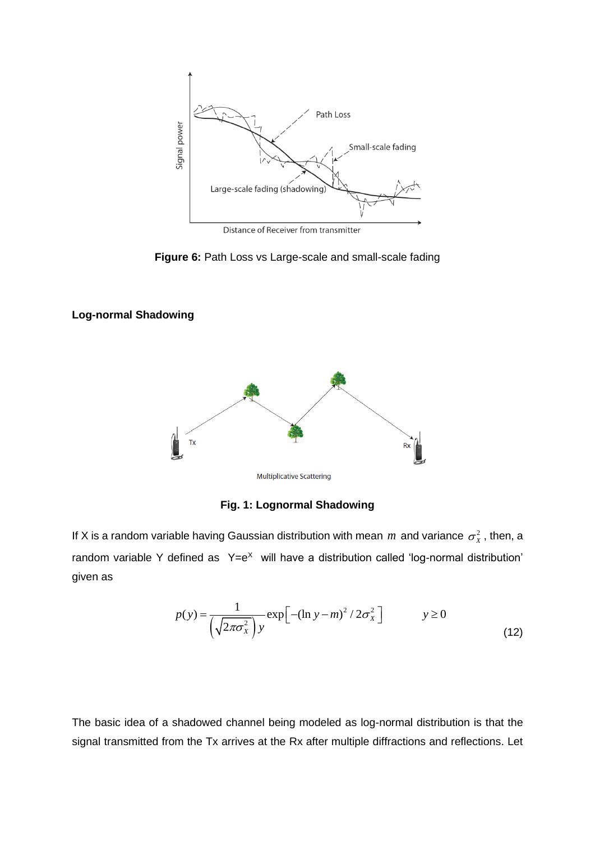

Distance of Receiver from transmitter

**Figure 6:** Path Loss vs Large-scale and small-scale fading

## **Log-normal Shadowing**



**Fig. 1: Lognormal Shadowing**

If X is a random variable having Gaussian distribution with mean  $m$  and variance  $\sigma_x^2$ , then, a random variable Y defined as  $Y=e^X$  will have a distribution called 'log-normal distribution' given as

$$
p(y) = \frac{1}{\left(\sqrt{2\pi\sigma_x^2}\right)y} \exp\left[-(\ln y - m)^2 / 2\sigma_x^2\right] \qquad y \ge 0
$$
\n(12)

The basic idea of a shadowed channel being modeled as log-normal distribution is that the signal transmitted from the Tx arrives at the Rx after multiple diffractions and reflections. Let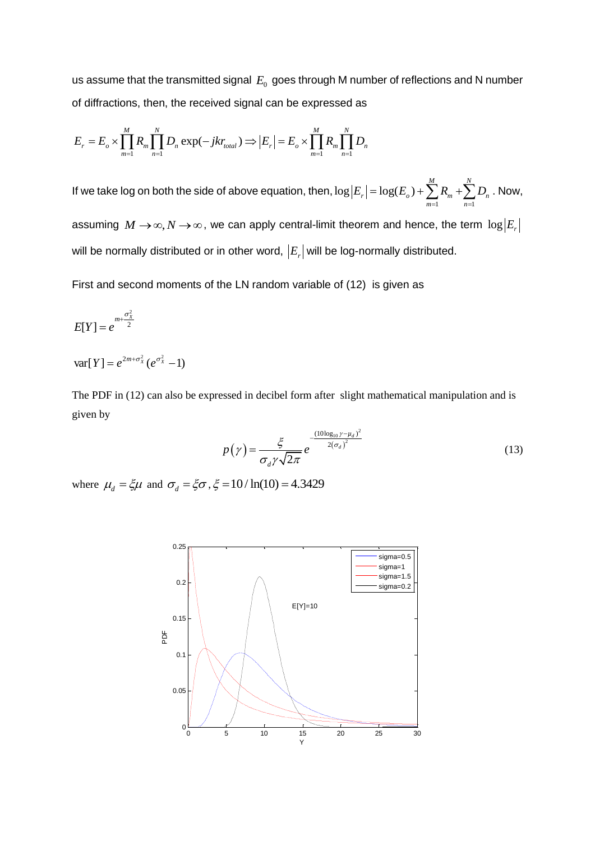us assume that the transmitted signal  $\,E_{0}\,$  goes through M number of reflections and N number of diffractions, then, the received signal can be expressed as

of differentations, then, the received signal can be expressed as  
\n
$$
E_r = E_o \times \prod_{m=1}^{M} R_m \prod_{n=1}^{N} D_n \exp(-jkr_{total}) \Rightarrow \left| E_r \right| = E_o \times \prod_{m=1}^{M} R_m \prod_{n=1}^{N} D_n
$$

If we take log on both the side of above equation, then,  $\log |E_r| = \log(E_o) + \sum_{m=1}^{\infty} R_m + \sum_{n=1}^{\infty} R_n$  $\log |E_r| = \log(E_o) + \sum_{m=1}^{M} R_m + \sum_{m=1}^{N} R_m$  $\sum_{r}$  = log( $E_o$ ) +  $\sum R_m$  +  $\sum D_n$  $\sum_{m=1}^{\infty}$   $\sum_{m=1}^{n}$   $\sum_{n=1}^{n}$  $E_r = \log(E_o) + \sum_{m=1}^{M} R_m + \sum_{m=1}^{N} D_m$  $= \log(E_{_o}) + \sum_{m=1}^{M} R_m + \sum_{n=1}^{N} D_n$ . Now,

assuming  $M \to \infty, N \to \infty$ , we can apply central-limit theorem and hence, the term  $\log |E_{n}|$ will be normally distributed or in other word,  $\left|E_r\right|$  will be log-normally distributed.

First and second moments of the LN random variable of (12) is given as

$$
E[Y] = e^{m + \frac{\sigma_X^2}{2}}
$$

 $var[Y] = e^{2m + \sigma_X^2} (e^{\sigma_X^2} - 1)$ 

The PDF in (12) can also be expressed in decibel form after slight mathematical manipulation and is given by

$$
p(\gamma) = \frac{\xi}{\sigma_d \gamma \sqrt{2\pi}} e^{-\frac{(10\log_{10}\gamma - \mu_d)^2}{2(\sigma_d)^2}}
$$
(13)

where  $\mu_d = \xi \mu$  and  $\sigma_d = \xi \sigma$ ,  $\xi = 10 / \ln(10) = 4.3429$